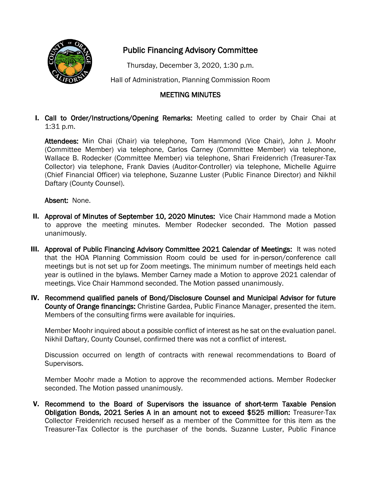

## Public Financing Advisory Committee

Thursday, December 3, 2020, 1:30 p.m.

Hall of Administration, Planning Commission Room

## MEETING MINUTES

I. Call to Order/Instructions/Opening Remarks: Meeting called to order by Chair Chai at 1:31 p.m.

Attendees: Min Chai (Chair) via telephone, Tom Hammond (Vice Chair), John J. Moohr (Committee Member) via telephone, Carlos Carney (Committee Member) via telephone, Wallace B. Rodecker (Committee Member) via telephone, Shari Freidenrich (Treasurer-Tax Collector) via telephone, Frank Davies (Auditor-Controller) via telephone, Michelle Aguirre (Chief Financial Officer) via telephone, Suzanne Luster (Public Finance Director) and Nikhil Daftary (County Counsel).

Absent: None.

- II. Approval of Minutes of September 10, 2020 Minutes: Vice Chair Hammond made a Motion to approve the meeting minutes. Member Rodecker seconded. The Motion passed unanimously.
- III. Approval of Public Financing Advisory Committee 2021 Calendar of Meetings: It was noted that the HOA Planning Commission Room could be used for in-person/conference call meetings but is not set up for Zoom meetings. The minimum number of meetings held each year is outlined in the bylaws. Member Carney made a Motion to approve 2021 calendar of meetings. Vice Chair Hammond seconded. The Motion passed unanimously.
- IV. Recommend qualified panels of Bond/Disclosure Counsel and Municipal Advisor for future County of Orange financings: Christine Gardea, Public Finance Manager, presented the item. Members of the consulting firms were available for inquiries.

Member Moohr inquired about a possible conflict of interest as he sat on the evaluation panel. Nikhil Daftary, County Counsel, confirmed there was not a conflict of interest.

Discussion occurred on length of contracts with renewal recommendations to Board of Supervisors.

Member Moohr made a Motion to approve the recommended actions. Member Rodecker seconded. The Motion passed unanimously.

V. Recommend to the Board of Supervisors the issuance of short-term Taxable Pension Obligation Bonds, 2021 Series A in an amount not to exceed \$525 million: Treasurer-Tax Collector Freidenrich recused herself as a member of the Committee for this item as the Treasurer-Tax Collector is the purchaser of the bonds. Suzanne Luster, Public Finance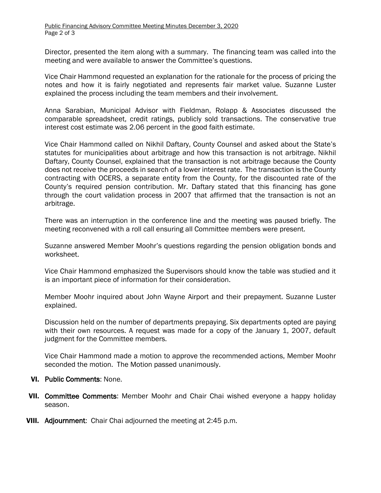Director, presented the item along with a summary. The financing team was called into the meeting and were available to answer the Committee's questions.

Vice Chair Hammond requested an explanation for the rationale for the process of pricing the notes and how it is fairly negotiated and represents fair market value. Suzanne Luster explained the process including the team members and their involvement.

Anna Sarabian, Municipal Advisor with Fieldman, Rolapp & Associates discussed the comparable spreadsheet, credit ratings, publicly sold transactions. The conservative true interest cost estimate was 2.06 percent in the good faith estimate.

Vice Chair Hammond called on Nikhil Daftary, County Counsel and asked about the State's statutes for municipalities about arbitrage and how this transaction is not arbitrage. Nikhil Daftary, County Counsel, explained that the transaction is not arbitrage because the County does not receive the proceeds in search of a lower interest rate. The transaction is the County contracting with OCERS, a separate entity from the County, for the discounted rate of the County's required pension contribution. Mr. Daftary stated that this financing has gone through the court validation process in 2007 that affirmed that the transaction is not an arbitrage.

There was an interruption in the conference line and the meeting was paused briefly. The meeting reconvened with a roll call ensuring all Committee members were present.

Suzanne answered Member Moohr's questions regarding the pension obligation bonds and worksheet.

Vice Chair Hammond emphasized the Supervisors should know the table was studied and it is an important piece of information for their consideration.

Member Moohr inquired about John Wayne Airport and their prepayment. Suzanne Luster explained.

Discussion held on the number of departments prepaying. Six departments opted are paying with their own resources. A request was made for a copy of the January 1, 2007, default judgment for the Committee members.

Vice Chair Hammond made a motion to approve the recommended actions, Member Moohr seconded the motion. The Motion passed unanimously.

## VI. Public Comments: None.

- VII. Committee Comments: Member Moohr and Chair Chai wished everyone a happy holiday season.
- VIII. Adjournment: Chair Chai adjourned the meeting at 2:45 p.m.